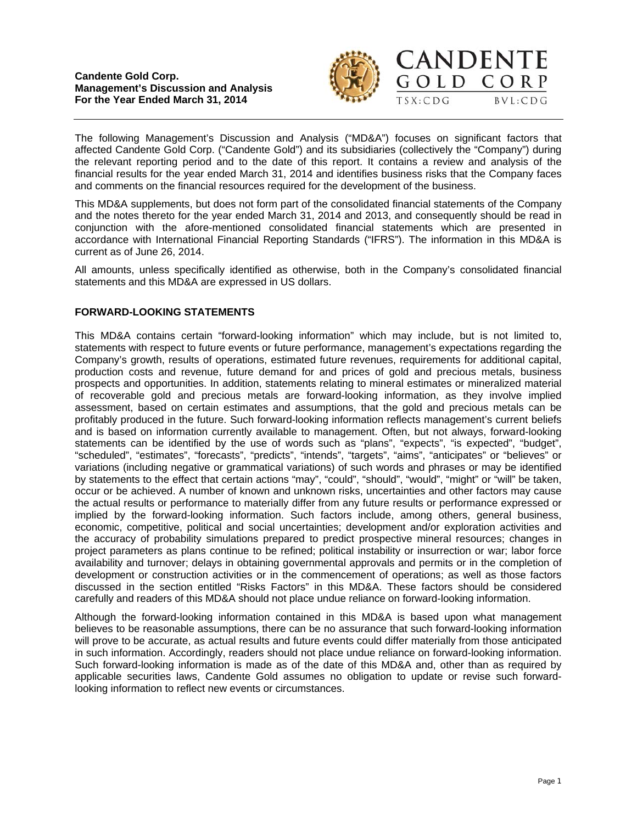



The following Management's Discussion and Analysis ("MD&A") focuses on significant factors that affected Candente Gold Corp. ("Candente Gold") and its subsidiaries (collectively the "Company") during the relevant reporting period and to the date of this report. It contains a review and analysis of the financial results for the year ended March 31, 2014 and identifies business risks that the Company faces and comments on the financial resources required for the development of the business.

This MD&A supplements, but does not form part of the consolidated financial statements of the Company and the notes thereto for the year ended March 31, 2014 and 2013, and consequently should be read in conjunction with the afore-mentioned consolidated financial statements which are presented in accordance with International Financial Reporting Standards ("IFRS"). The information in this MD&A is current as of June 26, 2014.

All amounts, unless specifically identified as otherwise, both in the Company's consolidated financial statements and this MD&A are expressed in US dollars.

## **FORWARD-LOOKING STATEMENTS**

This MD&A contains certain "forward-looking information" which may include, but is not limited to, statements with respect to future events or future performance, management's expectations regarding the Company's growth, results of operations, estimated future revenues, requirements for additional capital, production costs and revenue, future demand for and prices of gold and precious metals, business prospects and opportunities. In addition, statements relating to mineral estimates or mineralized material of recoverable gold and precious metals are forward-looking information, as they involve implied assessment, based on certain estimates and assumptions, that the gold and precious metals can be profitably produced in the future. Such forward-looking information reflects management's current beliefs and is based on information currently available to management. Often, but not always, forward-looking statements can be identified by the use of words such as "plans", "expects", "is expected", "budget", "scheduled", "estimates", "forecasts", "predicts", "intends", "targets", "aims", "anticipates" or "believes" or variations (including negative or grammatical variations) of such words and phrases or may be identified by statements to the effect that certain actions "may", "could", "should", "would", "might" or "will" be taken, occur or be achieved. A number of known and unknown risks, uncertainties and other factors may cause the actual results or performance to materially differ from any future results or performance expressed or implied by the forward-looking information. Such factors include, among others, general business, economic, competitive, political and social uncertainties; development and/or exploration activities and the accuracy of probability simulations prepared to predict prospective mineral resources; changes in project parameters as plans continue to be refined; political instability or insurrection or war; labor force availability and turnover; delays in obtaining governmental approvals and permits or in the completion of development or construction activities or in the commencement of operations; as well as those factors discussed in the section entitled "Risks Factors" in this MD&A. These factors should be considered carefully and readers of this MD&A should not place undue reliance on forward-looking information.

Although the forward-looking information contained in this MD&A is based upon what management believes to be reasonable assumptions, there can be no assurance that such forward-looking information will prove to be accurate, as actual results and future events could differ materially from those anticipated in such information. Accordingly, readers should not place undue reliance on forward-looking information. Such forward-looking information is made as of the date of this MD&A and, other than as required by applicable securities laws, Candente Gold assumes no obligation to update or revise such forwardlooking information to reflect new events or circumstances.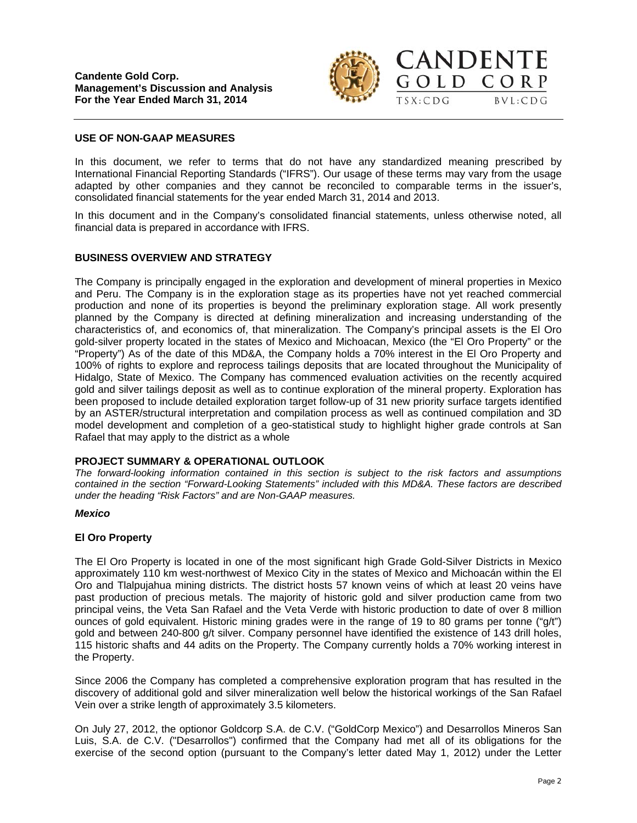

GOLD CORP

 $TSX:CDG$ 

 $BVL:CDG$ 



In this document, we refer to terms that do not have any standardized meaning prescribed by International Financial Reporting Standards ("IFRS"). Our usage of these terms may vary from the usage adapted by other companies and they cannot be reconciled to comparable terms in the issuer's, consolidated financial statements for the year ended March 31, 2014 and 2013.

In this document and in the Company's consolidated financial statements, unless otherwise noted, all financial data is prepared in accordance with IFRS.

### **BUSINESS OVERVIEW AND STRATEGY**

The Company is principally engaged in the exploration and development of mineral properties in Mexico and Peru. The Company is in the exploration stage as its properties have not yet reached commercial production and none of its properties is beyond the preliminary exploration stage. All work presently planned by the Company is directed at defining mineralization and increasing understanding of the characteristics of, and economics of, that mineralization. The Company's principal assets is the El Oro gold-silver property located in the states of Mexico and Michoacan, Mexico (the "El Oro Property" or the "Property") As of the date of this MD&A, the Company holds a 70% interest in the El Oro Property and 100% of rights to explore and reprocess tailings deposits that are located throughout the Municipality of Hidalgo, State of Mexico. The Company has commenced evaluation activities on the recently acquired gold and silver tailings deposit as well as to continue exploration of the mineral property. Exploration has been proposed to include detailed exploration target follow-up of 31 new priority surface targets identified by an ASTER/structural interpretation and compilation process as well as continued compilation and 3D model development and completion of a geo-statistical study to highlight higher grade controls at San Rafael that may apply to the district as a whole

#### **PROJECT SUMMARY & OPERATIONAL OUTLOOK**

*The forward-looking information contained in this section is subject to the risk factors and assumptions contained in the section "Forward-Looking Statements" included with this MD&A. These factors are described under the heading "Risk Factors" and are Non-GAAP measures.* 

#### *Mexico*

#### **El Oro Property**

The El Oro Property is located in one of the most significant high Grade Gold-Silver Districts in Mexico approximately 110 km west-northwest of Mexico City in the states of Mexico and Michoacán within the El Oro and Tlalpujahua mining districts. The district hosts 57 known veins of which at least 20 veins have past production of precious metals. The majority of historic gold and silver production came from two principal veins, the Veta San Rafael and the Veta Verde with historic production to date of over 8 million ounces of gold equivalent. Historic mining grades were in the range of 19 to 80 grams per tonne ("g/t") gold and between 240-800 g/t silver. Company personnel have identified the existence of 143 drill holes, 115 historic shafts and 44 adits on the Property. The Company currently holds a 70% working interest in the Property.

Since 2006 the Company has completed a comprehensive exploration program that has resulted in the discovery of additional gold and silver mineralization well below the historical workings of the San Rafael Vein over a strike length of approximately 3.5 kilometers.

On July 27, 2012, the optionor Goldcorp S.A. de C.V. ("GoldCorp Mexico") and Desarrollos Mineros San Luis, S.A. de C.V. ("Desarrollos") confirmed that the Company had met all of its obligations for the exercise of the second option (pursuant to the Company's letter dated May 1, 2012) under the Letter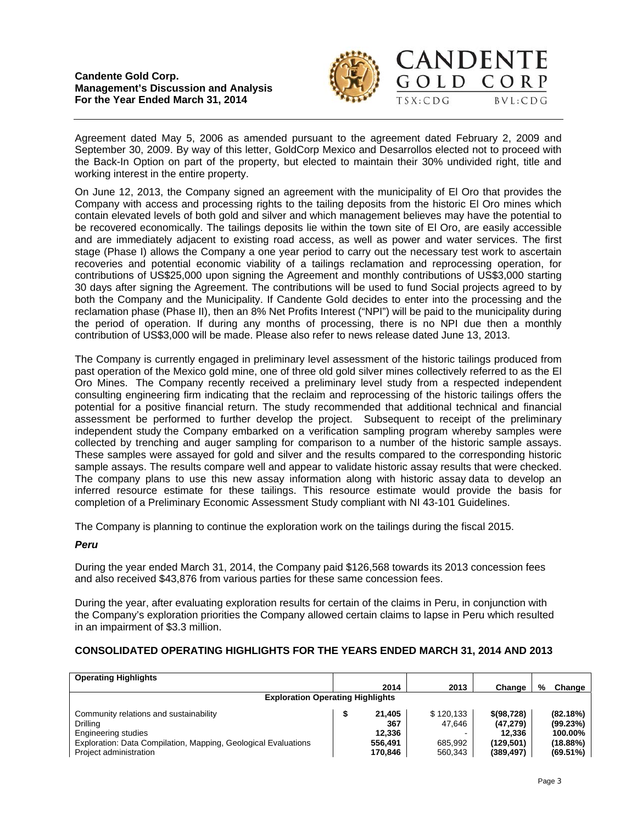

 $\Omega$  L D

CORP

 $BVL:CDG$ 

Agreement dated May 5, 2006 as amended pursuant to the agreement dated February 2, 2009 and September 30, 2009. By way of this letter, GoldCorp Mexico and Desarrollos elected not to proceed with the Back-In Option on part of the property, but elected to maintain their 30% undivided right, title and working interest in the entire property.

On June 12, 2013, the Company signed an agreement with the municipality of El Oro that provides the Company with access and processing rights to the tailing deposits from the historic El Oro mines which contain elevated levels of both gold and silver and which management believes may have the potential to be recovered economically. The tailings deposits lie within the town site of El Oro, are easily accessible and are immediately adjacent to existing road access, as well as power and water services. The first stage (Phase I) allows the Company a one year period to carry out the necessary test work to ascertain recoveries and potential economic viability of a tailings reclamation and reprocessing operation, for contributions of US\$25,000 upon signing the Agreement and monthly contributions of US\$3,000 starting 30 days after signing the Agreement. The contributions will be used to fund Social projects agreed to by both the Company and the Municipality. If Candente Gold decides to enter into the processing and the reclamation phase (Phase II), then an 8% Net Profits Interest ("NPI") will be paid to the municipality during the period of operation. If during any months of processing, there is no NPI due then a monthly contribution of US\$3,000 will be made. Please also refer to news release dated June 13, 2013.

The Company is currently engaged in preliminary level assessment of the historic tailings produced from past operation of the Mexico gold mine, one of three old gold silver mines collectively referred to as the El Oro Mines. The Company recently received a preliminary level study from a respected independent consulting engineering firm indicating that the reclaim and reprocessing of the historic tailings offers the potential for a positive financial return. The study recommended that additional technical and financial assessment be performed to further develop the project. Subsequent to receipt of the preliminary independent study the Company embarked on a verification sampling program whereby samples were collected by trenching and auger sampling for comparison to a number of the historic sample assays. These samples were assayed for gold and silver and the results compared to the corresponding historic sample assays. The results compare well and appear to validate historic assay results that were checked. The company plans to use this new assay information along with historic assay data to develop an inferred resource estimate for these tailings. This resource estimate would provide the basis for completion of a Preliminary Economic Assessment Study compliant with NI 43-101 Guidelines.

The Company is planning to continue the exploration work on the tailings during the fiscal 2015.

## *Peru*

During the year ended March 31, 2014, the Company paid \$126,568 towards its 2013 concession fees and also received \$43,876 from various parties for these same concession fees.

During the year, after evaluating exploration results for certain of the claims in Peru, in conjunction with the Company's exploration priorities the Company allowed certain claims to lapse in Peru which resulted in an impairment of \$3.3 million.

# **CONSOLIDATED OPERATING HIGHLIGHTS FOR THE YEARS ENDED MARCH 31, 2014 AND 2013**

| <b>Operating Highlights</b>                                    |  |         |           |              |   |             |  |  |  |
|----------------------------------------------------------------|--|---------|-----------|--------------|---|-------------|--|--|--|
|                                                                |  | 2014    | 2013      | Change       | % | Change      |  |  |  |
| <b>Exploration Operating Highlights</b>                        |  |         |           |              |   |             |  |  |  |
| Community relations and sustainability                         |  | 21.405  | \$120.133 | \$ (98, 728) |   | (82.18%)    |  |  |  |
| Drilling                                                       |  | 367     | 47.646    | (47.279)     |   | $(99.23\%)$ |  |  |  |
| Engineering studies                                            |  | 12.336  |           | 12.336       |   | 100.00%     |  |  |  |
| Exploration: Data Compilation, Mapping, Geological Evaluations |  | 556.491 | 685.992   | (129.501)    |   | $(18.88\%)$ |  |  |  |
| Project administration                                         |  | 170.846 | 560.343   | (389, 497)   |   | $(69.51\%)$ |  |  |  |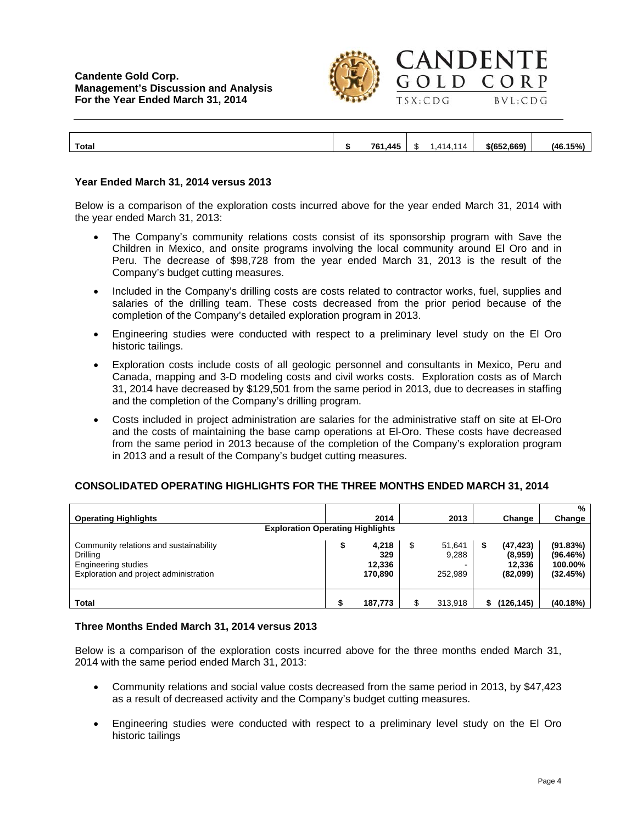

OLD

 $TSX:CDG$ 

CORP

 $BVL:CDG$ 

**Total \$ 761,445** \$ 1,414,114 **\$(652,669) (46.15%)** 

#### **Year Ended March 31, 2014 versus 2013**

Below is a comparison of the exploration costs incurred above for the year ended March 31, 2014 with the year ended March 31, 2013:

- The Company's community relations costs consist of its sponsorship program with Save the Children in Mexico, and onsite programs involving the local community around El Oro and in Peru. The decrease of \$98,728 from the year ended March 31, 2013 is the result of the Company's budget cutting measures.
- Included in the Company's drilling costs are costs related to contractor works, fuel, supplies and salaries of the drilling team. These costs decreased from the prior period because of the completion of the Company's detailed exploration program in 2013.
- Engineering studies were conducted with respect to a preliminary level study on the El Oro historic tailings.
- Exploration costs include costs of all geologic personnel and consultants in Mexico, Peru and Canada, mapping and 3-D modeling costs and civil works costs. Exploration costs as of March 31, 2014 have decreased by \$129,501 from the same period in 2013, due to decreases in staffing and the completion of the Company's drilling program.
- Costs included in project administration are salaries for the administrative staff on site at El-Oro and the costs of maintaining the base camp operations at El-Oro. These costs have decreased from the same period in 2013 because of the completion of the Company's exploration program in 2013 and a result of the Company's budget cutting measures.

#### **CONSOLIDATED OPERATING HIGHLIGHTS FOR THE THREE MONTHS ENDED MARCH 31, 2014**

| <b>Operating Highlights</b>                                                                                         |   | 2014                              |   | 2013                       |   | Change                                     | %<br>Change                                 |
|---------------------------------------------------------------------------------------------------------------------|---|-----------------------------------|---|----------------------------|---|--------------------------------------------|---------------------------------------------|
| <b>Exploration Operating Highlights</b>                                                                             |   |                                   |   |                            |   |                                            |                                             |
| Community relations and sustainability<br>Drilling<br>Engineering studies<br>Exploration and project administration | จ | 4,218<br>329<br>12,336<br>170,890 | S | 51,641<br>9,288<br>252.989 | S | (47, 423)<br>(8,959)<br>12.336<br>(82,099) | (91.83%)<br>(96.46%)<br>100.00%<br>(32.45%) |
| Total                                                                                                               |   | 187,773                           | ¢ | 313,918                    |   | (126, 145)                                 | (40.18%)                                    |

#### **Three Months Ended March 31, 2014 versus 2013**

Below is a comparison of the exploration costs incurred above for the three months ended March 31, 2014 with the same period ended March 31, 2013:

- Community relations and social value costs decreased from the same period in 2013, by \$47,423 as a result of decreased activity and the Company's budget cutting measures.
- Engineering studies were conducted with respect to a preliminary level study on the El Oro historic tailings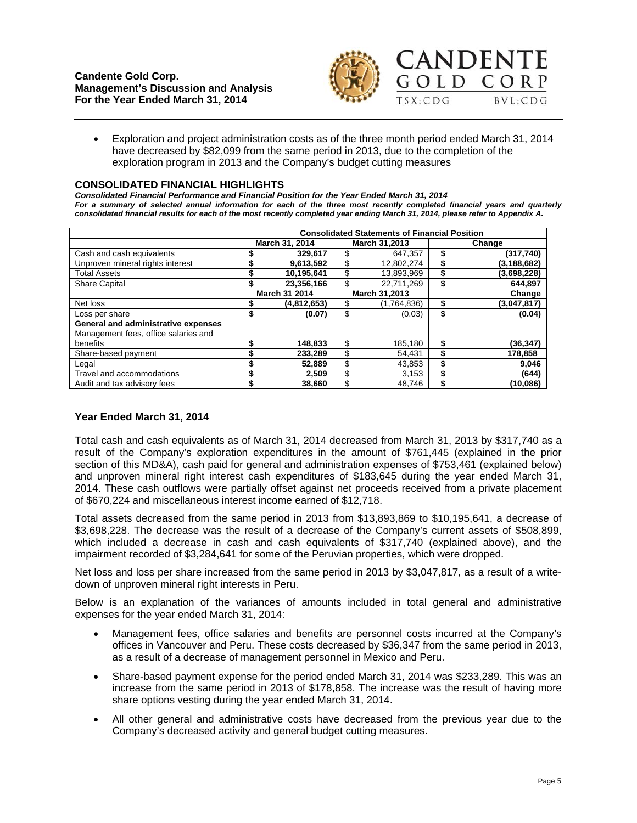

 Exploration and project administration costs as of the three month period ended March 31, 2014 have decreased by \$82,099 from the same period in 2013, due to the completion of the exploration program in 2013 and the Company's budget cutting measures

#### **CONSOLIDATED FINANCIAL HIGHLIGHTS**

*Consolidated Financial Performance and Financial Position for the Year Ended March 31, 2014 For a summary of selected annual information for each of the three most recently completed financial years and quarterly consolidated financial results for each of the most recently completed year ending March 31, 2014, please refer to Appendix A.* 

|                                      | <b>Consolidated Statements of Financial Position</b> |             |               |             |        |               |  |
|--------------------------------------|------------------------------------------------------|-------------|---------------|-------------|--------|---------------|--|
|                                      | March 31,2013<br>March 31, 2014                      |             |               | Change      |        |               |  |
| Cash and cash equivalents            | \$                                                   | 329,617     | \$            | 647,357     | \$     | (317,740)     |  |
| Unproven mineral rights interest     | \$                                                   | 9,613,592   | \$            | 12.802.274  | \$     | (3, 188, 682) |  |
| <b>Total Assets</b>                  | \$                                                   | 10,195,641  | \$            | 13,893,969  | \$     | (3,698,228)   |  |
| <b>Share Capital</b>                 | \$                                                   | 23,356,166  | \$            | 22,711,269  | \$     | 644,897       |  |
|                                      | <b>March 31 2014</b>                                 |             | March 31,2013 |             | Change |               |  |
| Net loss                             | \$                                                   | (4,812,653) | \$            | (1,764,836) | \$     | (3,047,817)   |  |
| Loss per share                       | \$                                                   | (0.07)      | \$            | (0.03)      | \$     | (0.04)        |  |
| General and administrative expenses  |                                                      |             |               |             |        |               |  |
| Management fees, office salaries and |                                                      |             |               |             |        |               |  |
| benefits                             | \$                                                   | 148.833     | \$            | 185,180     | \$     | (36, 347)     |  |
| Share-based payment                  | \$                                                   | 233,289     | \$            | 54,431      | \$     | 178,858       |  |
| Legal                                | \$                                                   | 52,889      | \$            | 43,853      | \$     | 9,046         |  |
| Travel and accommodations            | \$                                                   | 2,509       | \$            | 3,153       | \$     | (644)         |  |
| Audit and tax advisory fees          | \$                                                   | 38.660      | \$            | 48.746      | \$     | (10.086)      |  |

### **Year Ended March 31, 2014**

Total cash and cash equivalents as of March 31, 2014 decreased from March 31, 2013 by \$317,740 as a result of the Company's exploration expenditures in the amount of \$761,445 (explained in the prior section of this MD&A), cash paid for general and administration expenses of \$753,461 (explained below) and unproven mineral right interest cash expenditures of \$183,645 during the year ended March 31, 2014. These cash outflows were partially offset against net proceeds received from a private placement of \$670,224 and miscellaneous interest income earned of \$12,718.

Total assets decreased from the same period in 2013 from \$13,893,869 to \$10,195,641, a decrease of \$3,698,228. The decrease was the result of a decrease of the Company's current assets of \$508,899, which included a decrease in cash and cash equivalents of \$317,740 (explained above), and the impairment recorded of \$3,284,641 for some of the Peruvian properties, which were dropped.

Net loss and loss per share increased from the same period in 2013 by \$3,047,817, as a result of a writedown of unproven mineral right interests in Peru.

Below is an explanation of the variances of amounts included in total general and administrative expenses for the year ended March 31, 2014:

- Management fees, office salaries and benefits are personnel costs incurred at the Company's offices in Vancouver and Peru. These costs decreased by \$36,347 from the same period in 2013, as a result of a decrease of management personnel in Mexico and Peru.
- Share-based payment expense for the period ended March 31, 2014 was \$233,289. This was an increase from the same period in 2013 of \$178,858. The increase was the result of having more share options vesting during the year ended March 31, 2014.
- All other general and administrative costs have decreased from the previous year due to the Company's decreased activity and general budget cutting measures.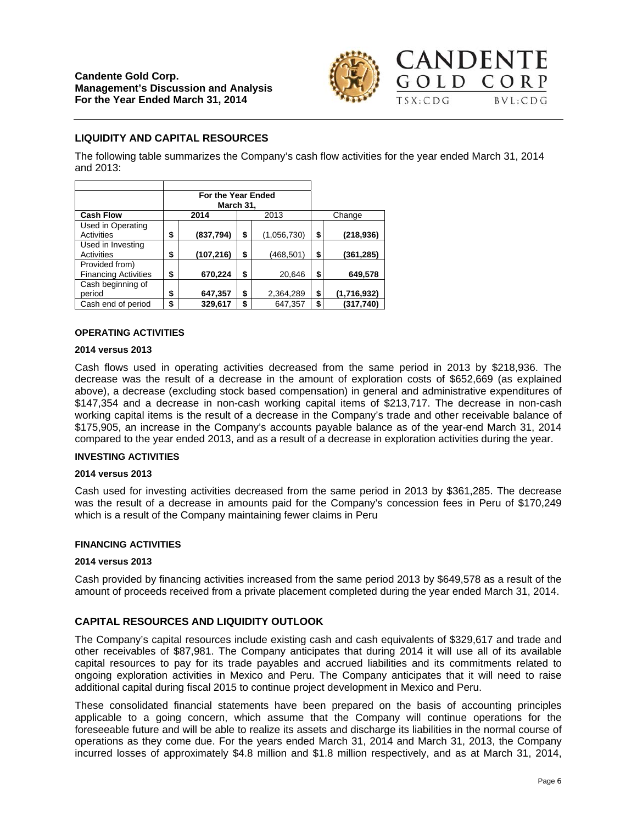

# **LIQUIDITY AND CAPITAL RESOURCES**

The following table summarizes the Company's cash flow activities for the year ended March 31, 2014 and 2013:

|                                               | For the Year Ended<br>March 31, |                   |                   |
|-----------------------------------------------|---------------------------------|-------------------|-------------------|
| <b>Cash Flow</b>                              | 2014                            | 2013              | Change            |
| Used in Operating<br>Activities               | \$<br>(837, 794)                | \$<br>(1,056,730) | \$<br>(218,936)   |
| Used in Investing<br>Activities               | \$<br>(107, 216)                | \$<br>(468,501)   | \$<br>(361,285)   |
| Provided from)<br><b>Financing Activities</b> | \$<br>670,224                   | \$<br>20,646      | \$<br>649,578     |
| Cash beginning of<br>period                   | \$<br>647,357                   | \$<br>2,364,289   | \$<br>(1,716,932) |
| Cash end of period                            | \$<br>329,617                   | \$<br>647,357     | \$<br>(317,740)   |

#### **OPERATING ACTIVITIES**

#### **2014 versus 2013**

Cash flows used in operating activities decreased from the same period in 2013 by \$218,936. The decrease was the result of a decrease in the amount of exploration costs of \$652,669 (as explained above), a decrease (excluding stock based compensation) in general and administrative expenditures of \$147,354 and a decrease in non-cash working capital items of \$213,717. The decrease in non-cash working capital items is the result of a decrease in the Company's trade and other receivable balance of \$175,905, an increase in the Company's accounts payable balance as of the year-end March 31, 2014 compared to the year ended 2013, and as a result of a decrease in exploration activities during the year.

#### **INVESTING ACTIVITIES**

#### **2014 versus 2013**

Cash used for investing activities decreased from the same period in 2013 by \$361,285. The decrease was the result of a decrease in amounts paid for the Company's concession fees in Peru of \$170,249 which is a result of the Company maintaining fewer claims in Peru

#### **FINANCING ACTIVITIES**

#### **2014 versus 2013**

Cash provided by financing activities increased from the same period 2013 by \$649,578 as a result of the amount of proceeds received from a private placement completed during the year ended March 31, 2014.

## **CAPITAL RESOURCES AND LIQUIDITY OUTLOOK**

The Company's capital resources include existing cash and cash equivalents of \$329,617 and trade and other receivables of \$87,981. The Company anticipates that during 2014 it will use all of its available capital resources to pay for its trade payables and accrued liabilities and its commitments related to ongoing exploration activities in Mexico and Peru. The Company anticipates that it will need to raise additional capital during fiscal 2015 to continue project development in Mexico and Peru.

These consolidated financial statements have been prepared on the basis of accounting principles applicable to a going concern, which assume that the Company will continue operations for the foreseeable future and will be able to realize its assets and discharge its liabilities in the normal course of operations as they come due. For the years ended March 31, 2014 and March 31, 2013, the Company incurred losses of approximately \$4.8 million and \$1.8 million respectively, and as at March 31, 2014,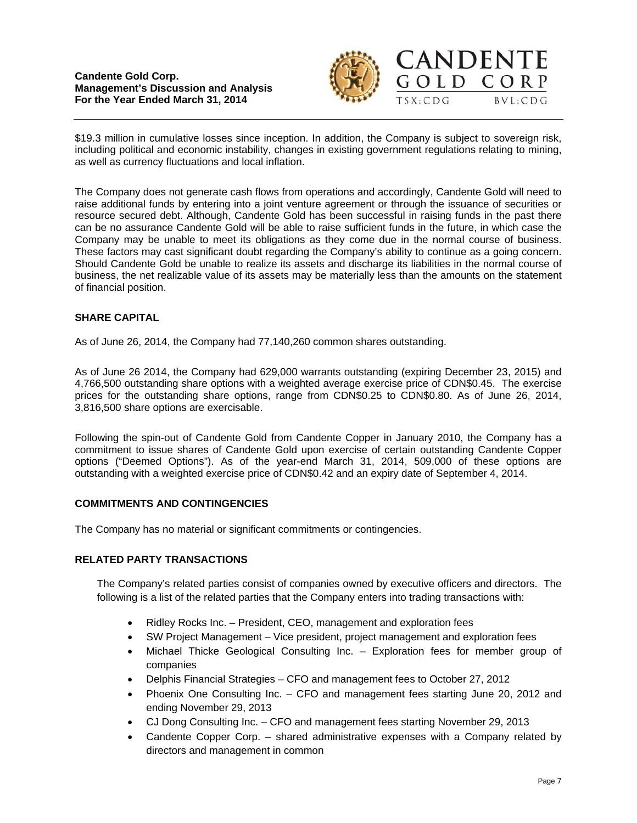

GOLD CORP

 $BVL:CDG$ 



The Company does not generate cash flows from operations and accordingly, Candente Gold will need to raise additional funds by entering into a joint venture agreement or through the issuance of securities or resource secured debt. Although, Candente Gold has been successful in raising funds in the past there can be no assurance Candente Gold will be able to raise sufficient funds in the future, in which case the Company may be unable to meet its obligations as they come due in the normal course of business. These factors may cast significant doubt regarding the Company's ability to continue as a going concern. Should Candente Gold be unable to realize its assets and discharge its liabilities in the normal course of business, the net realizable value of its assets may be materially less than the amounts on the statement of financial position.

## **SHARE CAPITAL**

As of June 26, 2014, the Company had 77,140,260 common shares outstanding.

As of June 26 2014, the Company had 629,000 warrants outstanding (expiring December 23, 2015) and 4,766,500 outstanding share options with a weighted average exercise price of CDN\$0.45. The exercise prices for the outstanding share options, range from CDN\$0.25 to CDN\$0.80. As of June 26, 2014, 3,816,500 share options are exercisable.

Following the spin-out of Candente Gold from Candente Copper in January 2010, the Company has a commitment to issue shares of Candente Gold upon exercise of certain outstanding Candente Copper options ("Deemed Options"). As of the year-end March 31, 2014, 509,000 of these options are outstanding with a weighted exercise price of CDN\$0.42 and an expiry date of September 4, 2014.

### **COMMITMENTS AND CONTINGENCIES**

The Company has no material or significant commitments or contingencies.

#### **RELATED PARTY TRANSACTIONS**

The Company's related parties consist of companies owned by executive officers and directors. The following is a list of the related parties that the Company enters into trading transactions with:

- Ridley Rocks Inc. President, CEO, management and exploration fees
- SW Project Management Vice president, project management and exploration fees
- Michael Thicke Geological Consulting Inc. Exploration fees for member group of companies
- Delphis Financial Strategies CFO and management fees to October 27, 2012
- Phoenix One Consulting Inc. CFO and management fees starting June 20, 2012 and ending November 29, 2013
- CJ Dong Consulting Inc. CFO and management fees starting November 29, 2013
- Candente Copper Corp. shared administrative expenses with a Company related by directors and management in common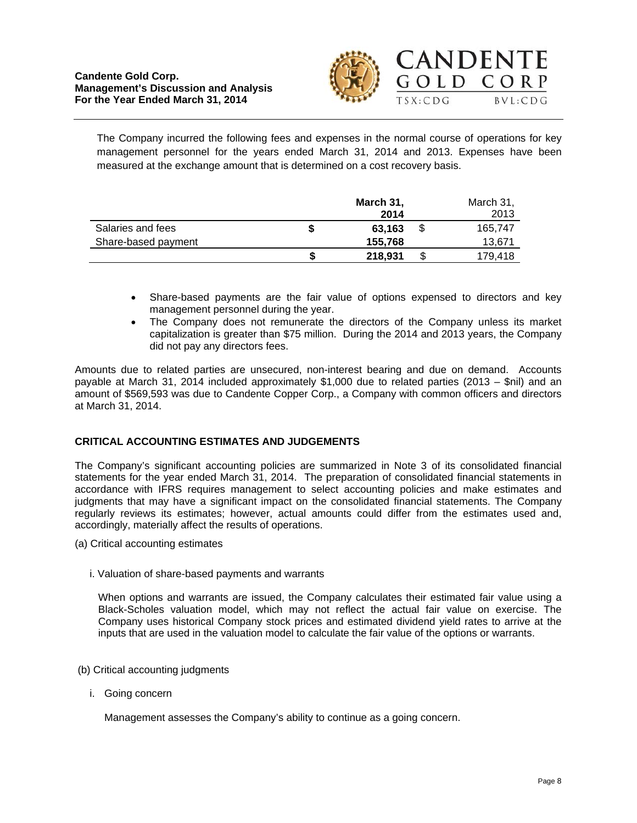



The Company incurred the following fees and expenses in the normal course of operations for key management personnel for the years ended March 31, 2014 and 2013. Expenses have been measured at the exchange amount that is determined on a cost recovery basis.

|                     | March 31,<br>2014 | March 31,<br>2013 |
|---------------------|-------------------|-------------------|
| Salaries and fees   | \$<br>63.163      | 165.747           |
| Share-based payment | 155,768           | 13.671            |
|                     | 218,931           | \$<br>179,418     |

- Share-based payments are the fair value of options expensed to directors and key management personnel during the year.
- The Company does not remunerate the directors of the Company unless its market capitalization is greater than \$75 million. During the 2014 and 2013 years, the Company did not pay any directors fees.

Amounts due to related parties are unsecured, non-interest bearing and due on demand. Accounts payable at March 31, 2014 included approximately \$1,000 due to related parties (2013 – \$nil) and an amount of \$569,593 was due to Candente Copper Corp., a Company with common officers and directors at March 31, 2014.

## **CRITICAL ACCOUNTING ESTIMATES AND JUDGEMENTS**

The Company's significant accounting policies are summarized in Note 3 of its consolidated financial statements for the year ended March 31, 2014. The preparation of consolidated financial statements in accordance with IFRS requires management to select accounting policies and make estimates and judgments that may have a significant impact on the consolidated financial statements. The Company regularly reviews its estimates; however, actual amounts could differ from the estimates used and, accordingly, materially affect the results of operations.

- (a) Critical accounting estimates
	- i. Valuation of share-based payments and warrants

When options and warrants are issued, the Company calculates their estimated fair value using a Black-Scholes valuation model, which may not reflect the actual fair value on exercise. The Company uses historical Company stock prices and estimated dividend yield rates to arrive at the inputs that are used in the valuation model to calculate the fair value of the options or warrants.

- (b) Critical accounting judgments
	- i. Going concern

Management assesses the Company's ability to continue as a going concern.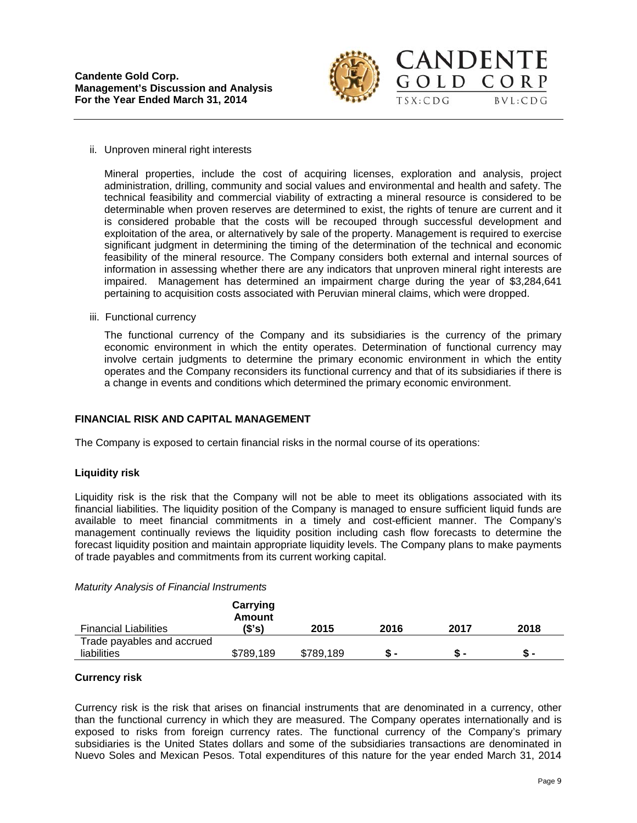

GOLD CORP

 $BVL:CDG$ 

 $TSX:CDG$ 

#### ii. Unproven mineral right interests

Mineral properties, include the cost of acquiring licenses, exploration and analysis, project administration, drilling, community and social values and environmental and health and safety. The technical feasibility and commercial viability of extracting a mineral resource is considered to be determinable when proven reserves are determined to exist, the rights of tenure are current and it is considered probable that the costs will be recouped through successful development and exploitation of the area, or alternatively by sale of the property. Management is required to exercise significant judgment in determining the timing of the determination of the technical and economic feasibility of the mineral resource. The Company considers both external and internal sources of information in assessing whether there are any indicators that unproven mineral right interests are impaired. Management has determined an impairment charge during the year of \$3,284,641 pertaining to acquisition costs associated with Peruvian mineral claims, which were dropped.

iii. Functional currency

The functional currency of the Company and its subsidiaries is the currency of the primary economic environment in which the entity operates. Determination of functional currency may involve certain judgments to determine the primary economic environment in which the entity operates and the Company reconsiders its functional currency and that of its subsidiaries if there is a change in events and conditions which determined the primary economic environment.

### **FINANCIAL RISK AND CAPITAL MANAGEMENT**

The Company is exposed to certain financial risks in the normal course of its operations:

#### **Liquidity risk**

Liquidity risk is the risk that the Company will not be able to meet its obligations associated with its financial liabilities. The liquidity position of the Company is managed to ensure sufficient liquid funds are available to meet financial commitments in a timely and cost-efficient manner. The Company's management continually reviews the liquidity position including cash flow forecasts to determine the forecast liquidity position and maintain appropriate liquidity levels. The Company plans to make payments of trade payables and commitments from its current working capital.

| <b>Financial Liabilities</b> | Carrying<br>Amount<br>(S's) | 2015      | 2016 | 2017 | 2018 |
|------------------------------|-----------------------------|-----------|------|------|------|
| Trade payables and accrued   |                             |           |      |      |      |
| liabilities                  | \$789,189                   | \$789,189 |      |      | Տ -  |

#### **Currency risk**

Currency risk is the risk that arises on financial instruments that are denominated in a currency, other than the functional currency in which they are measured. The Company operates internationally and is exposed to risks from foreign currency rates. The functional currency of the Company's primary subsidiaries is the United States dollars and some of the subsidiaries transactions are denominated in Nuevo Soles and Mexican Pesos. Total expenditures of this nature for the year ended March 31, 2014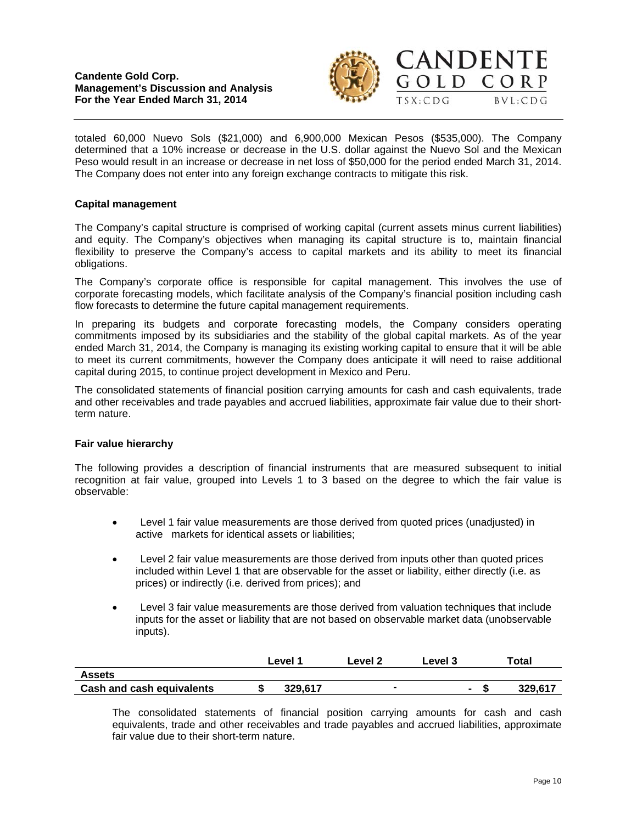



totaled 60,000 Nuevo Sols (\$21,000) and 6,900,000 Mexican Pesos (\$535,000). The Company determined that a 10% increase or decrease in the U.S. dollar against the Nuevo Sol and the Mexican Peso would result in an increase or decrease in net loss of \$50,000 for the period ended March 31, 2014. The Company does not enter into any foreign exchange contracts to mitigate this risk.

## **Capital management**

The Company's capital structure is comprised of working capital (current assets minus current liabilities) and equity. The Company's objectives when managing its capital structure is to, maintain financial flexibility to preserve the Company's access to capital markets and its ability to meet its financial obligations.

The Company's corporate office is responsible for capital management. This involves the use of corporate forecasting models, which facilitate analysis of the Company's financial position including cash flow forecasts to determine the future capital management requirements.

In preparing its budgets and corporate forecasting models, the Company considers operating commitments imposed by its subsidiaries and the stability of the global capital markets. As of the year ended March 31, 2014, the Company is managing its existing working capital to ensure that it will be able to meet its current commitments, however the Company does anticipate it will need to raise additional capital during 2015, to continue project development in Mexico and Peru.

The consolidated statements of financial position carrying amounts for cash and cash equivalents, trade and other receivables and trade payables and accrued liabilities, approximate fair value due to their shortterm nature.

#### **Fair value hierarchy**

The following provides a description of financial instruments that are measured subsequent to initial recognition at fair value, grouped into Levels 1 to 3 based on the degree to which the fair value is observable:

- Level 1 fair value measurements are those derived from quoted prices (unadjusted) in active markets for identical assets or liabilities;
- Level 2 fair value measurements are those derived from inputs other than quoted prices included within Level 1 that are observable for the asset or liability, either directly (i.e. as prices) or indirectly (i.e. derived from prices); and
- Level 3 fair value measurements are those derived from valuation techniques that include inputs for the asset or liability that are not based on observable market data (unobservable inputs).

|                                  | ∟evel 1 | Level 2 | Level 3        | ⊤otal   |
|----------------------------------|---------|---------|----------------|---------|
| <b>Assets</b>                    |         |         |                |         |
| <b>Cash and cash equivalents</b> | 329.617 |         | $\blacksquare$ | 329.617 |

The consolidated statements of financial position carrying amounts for cash and cash equivalents, trade and other receivables and trade payables and accrued liabilities, approximate fair value due to their short-term nature.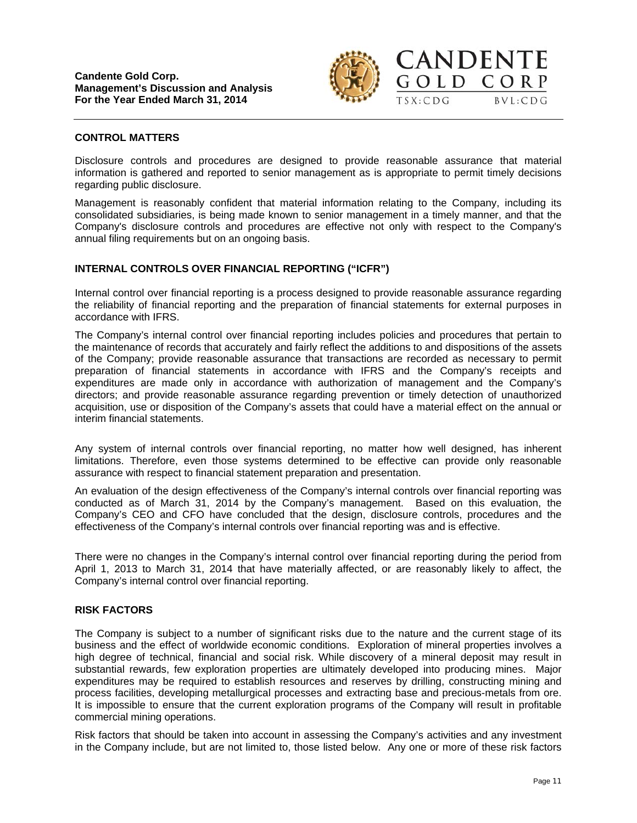

GOLD CORP

 $TSX:CDG$ 

 $BVL:CDG$ 

### **CONTROL MATTERS**

Disclosure controls and procedures are designed to provide reasonable assurance that material information is gathered and reported to senior management as is appropriate to permit timely decisions regarding public disclosure.

Management is reasonably confident that material information relating to the Company, including its consolidated subsidiaries, is being made known to senior management in a timely manner, and that the Company's disclosure controls and procedures are effective not only with respect to the Company's annual filing requirements but on an ongoing basis.

### **INTERNAL CONTROLS OVER FINANCIAL REPORTING ("ICFR")**

Internal control over financial reporting is a process designed to provide reasonable assurance regarding the reliability of financial reporting and the preparation of financial statements for external purposes in accordance with IFRS.

The Company's internal control over financial reporting includes policies and procedures that pertain to the maintenance of records that accurately and fairly reflect the additions to and dispositions of the assets of the Company; provide reasonable assurance that transactions are recorded as necessary to permit preparation of financial statements in accordance with IFRS and the Company's receipts and expenditures are made only in accordance with authorization of management and the Company's directors; and provide reasonable assurance regarding prevention or timely detection of unauthorized acquisition, use or disposition of the Company's assets that could have a material effect on the annual or interim financial statements.

Any system of internal controls over financial reporting, no matter how well designed, has inherent limitations. Therefore, even those systems determined to be effective can provide only reasonable assurance with respect to financial statement preparation and presentation.

An evaluation of the design effectiveness of the Company's internal controls over financial reporting was conducted as of March 31, 2014 by the Company's management. Based on this evaluation, the Company's CEO and CFO have concluded that the design, disclosure controls, procedures and the effectiveness of the Company's internal controls over financial reporting was and is effective.

There were no changes in the Company's internal control over financial reporting during the period from April 1, 2013 to March 31, 2014 that have materially affected, or are reasonably likely to affect, the Company's internal control over financial reporting.

#### **RISK FACTORS**

The Company is subject to a number of significant risks due to the nature and the current stage of its business and the effect of worldwide economic conditions. Exploration of mineral properties involves a high degree of technical, financial and social risk. While discovery of a mineral deposit may result in substantial rewards, few exploration properties are ultimately developed into producing mines. Major expenditures may be required to establish resources and reserves by drilling, constructing mining and process facilities, developing metallurgical processes and extracting base and precious-metals from ore. It is impossible to ensure that the current exploration programs of the Company will result in profitable commercial mining operations.

Risk factors that should be taken into account in assessing the Company's activities and any investment in the Company include, but are not limited to, those listed below. Any one or more of these risk factors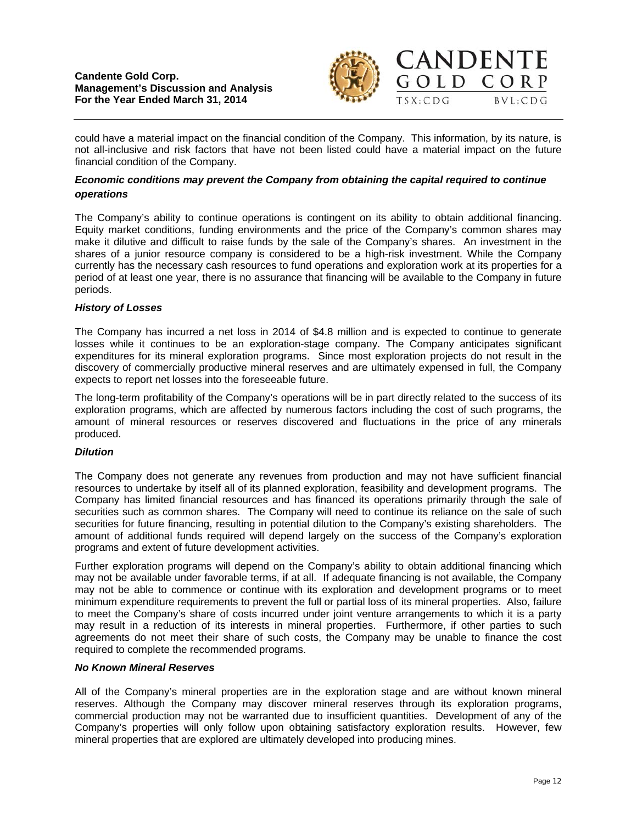

 $BVL:CDG$ 

could have a material impact on the financial condition of the Company. This information, by its nature, is not all-inclusive and risk factors that have not been listed could have a material impact on the future financial condition of the Company.

### *Economic conditions may prevent the Company from obtaining the capital required to continue operations*

The Company's ability to continue operations is contingent on its ability to obtain additional financing. Equity market conditions, funding environments and the price of the Company's common shares may make it dilutive and difficult to raise funds by the sale of the Company's shares. An investment in the shares of a junior resource company is considered to be a high-risk investment. While the Company currently has the necessary cash resources to fund operations and exploration work at its properties for a period of at least one year, there is no assurance that financing will be available to the Company in future periods.

### *History of Losses*

The Company has incurred a net loss in 2014 of \$4.8 million and is expected to continue to generate losses while it continues to be an exploration-stage company. The Company anticipates significant expenditures for its mineral exploration programs. Since most exploration projects do not result in the discovery of commercially productive mineral reserves and are ultimately expensed in full, the Company expects to report net losses into the foreseeable future.

The long-term profitability of the Company's operations will be in part directly related to the success of its exploration programs, which are affected by numerous factors including the cost of such programs, the amount of mineral resources or reserves discovered and fluctuations in the price of any minerals produced.

#### *Dilution*

The Company does not generate any revenues from production and may not have sufficient financial resources to undertake by itself all of its planned exploration, feasibility and development programs. The Company has limited financial resources and has financed its operations primarily through the sale of securities such as common shares. The Company will need to continue its reliance on the sale of such securities for future financing, resulting in potential dilution to the Company's existing shareholders. The amount of additional funds required will depend largely on the success of the Company's exploration programs and extent of future development activities.

Further exploration programs will depend on the Company's ability to obtain additional financing which may not be available under favorable terms, if at all. If adequate financing is not available, the Company may not be able to commence or continue with its exploration and development programs or to meet minimum expenditure requirements to prevent the full or partial loss of its mineral properties. Also, failure to meet the Company's share of costs incurred under joint venture arrangements to which it is a party may result in a reduction of its interests in mineral properties. Furthermore, if other parties to such agreements do not meet their share of such costs, the Company may be unable to finance the cost required to complete the recommended programs.

### *No Known Mineral Reserves*

All of the Company's mineral properties are in the exploration stage and are without known mineral reserves. Although the Company may discover mineral reserves through its exploration programs, commercial production may not be warranted due to insufficient quantities. Development of any of the Company's properties will only follow upon obtaining satisfactory exploration results. However, few mineral properties that are explored are ultimately developed into producing mines.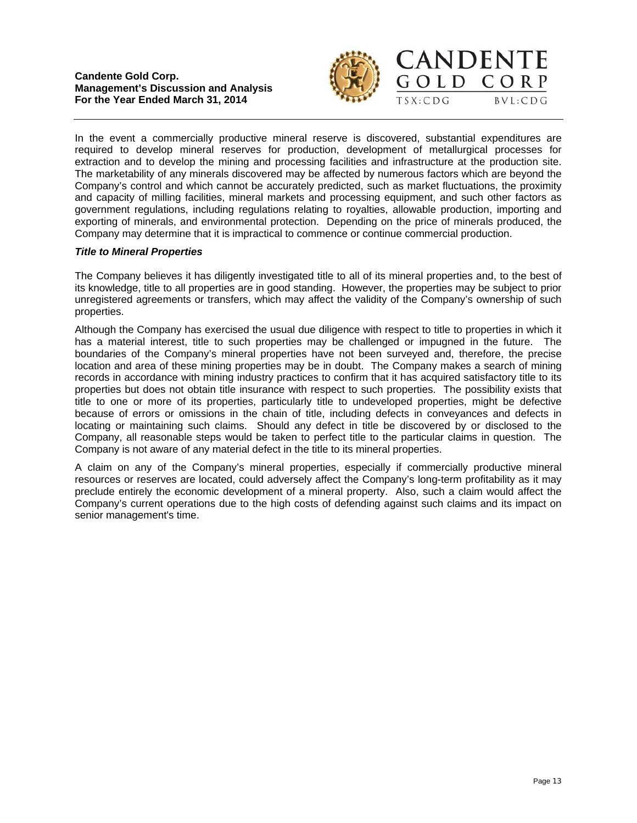

 $\Omega$  L D

CORP

 $BVL:CDG$ 



#### *Title to Mineral Properties*

The Company believes it has diligently investigated title to all of its mineral properties and, to the best of its knowledge, title to all properties are in good standing. However, the properties may be subject to prior unregistered agreements or transfers, which may affect the validity of the Company's ownership of such properties.

Although the Company has exercised the usual due diligence with respect to title to properties in which it has a material interest, title to such properties may be challenged or impugned in the future. The boundaries of the Company's mineral properties have not been surveyed and, therefore, the precise location and area of these mining properties may be in doubt. The Company makes a search of mining records in accordance with mining industry practices to confirm that it has acquired satisfactory title to its properties but does not obtain title insurance with respect to such properties. The possibility exists that title to one or more of its properties, particularly title to undeveloped properties, might be defective because of errors or omissions in the chain of title, including defects in conveyances and defects in locating or maintaining such claims. Should any defect in title be discovered by or disclosed to the Company, all reasonable steps would be taken to perfect title to the particular claims in question. The Company is not aware of any material defect in the title to its mineral properties.

A claim on any of the Company's mineral properties, especially if commercially productive mineral resources or reserves are located, could adversely affect the Company's long-term profitability as it may preclude entirely the economic development of a mineral property. Also, such a claim would affect the Company's current operations due to the high costs of defending against such claims and its impact on senior management's time.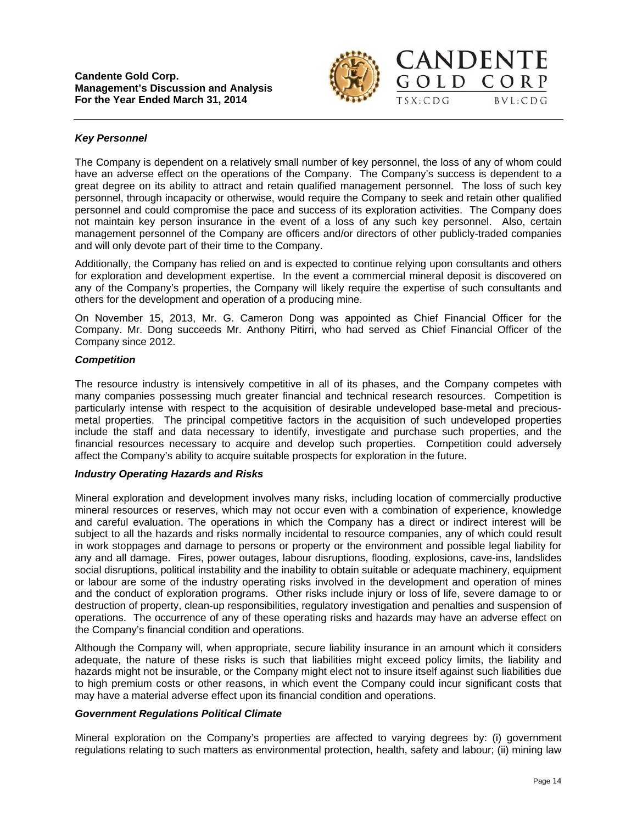

GOLD CORP

 $TSX:CDG$ 

 $RVI:CDG$ 

### *Key Personnel*

The Company is dependent on a relatively small number of key personnel, the loss of any of whom could have an adverse effect on the operations of the Company. The Company's success is dependent to a great degree on its ability to attract and retain qualified management personnel. The loss of such key personnel, through incapacity or otherwise, would require the Company to seek and retain other qualified personnel and could compromise the pace and success of its exploration activities. The Company does not maintain key person insurance in the event of a loss of any such key personnel. Also, certain management personnel of the Company are officers and/or directors of other publicly-traded companies and will only devote part of their time to the Company.

Additionally, the Company has relied on and is expected to continue relying upon consultants and others for exploration and development expertise. In the event a commercial mineral deposit is discovered on any of the Company's properties, the Company will likely require the expertise of such consultants and others for the development and operation of a producing mine.

On November 15, 2013, Mr. G. Cameron Dong was appointed as Chief Financial Officer for the Company. Mr. Dong succeeds Mr. Anthony Pitirri, who had served as Chief Financial Officer of the Company since 2012.

#### *Competition*

The resource industry is intensively competitive in all of its phases, and the Company competes with many companies possessing much greater financial and technical research resources. Competition is particularly intense with respect to the acquisition of desirable undeveloped base-metal and preciousmetal properties. The principal competitive factors in the acquisition of such undeveloped properties include the staff and data necessary to identify, investigate and purchase such properties, and the financial resources necessary to acquire and develop such properties. Competition could adversely affect the Company's ability to acquire suitable prospects for exploration in the future.

#### *Industry Operating Hazards and Risks*

Mineral exploration and development involves many risks, including location of commercially productive mineral resources or reserves, which may not occur even with a combination of experience, knowledge and careful evaluation. The operations in which the Company has a direct or indirect interest will be subject to all the hazards and risks normally incidental to resource companies, any of which could result in work stoppages and damage to persons or property or the environment and possible legal liability for any and all damage. Fires, power outages, labour disruptions, flooding, explosions, cave-ins, landslides social disruptions, political instability and the inability to obtain suitable or adequate machinery, equipment or labour are some of the industry operating risks involved in the development and operation of mines and the conduct of exploration programs. Other risks include injury or loss of life, severe damage to or destruction of property, clean-up responsibilities, regulatory investigation and penalties and suspension of operations. The occurrence of any of these operating risks and hazards may have an adverse effect on the Company's financial condition and operations.

Although the Company will, when appropriate, secure liability insurance in an amount which it considers adequate, the nature of these risks is such that liabilities might exceed policy limits, the liability and hazards might not be insurable, or the Company might elect not to insure itself against such liabilities due to high premium costs or other reasons, in which event the Company could incur significant costs that may have a material adverse effect upon its financial condition and operations.

#### *Government Regulations Political Climate*

Mineral exploration on the Company's properties are affected to varying degrees by: (i) government regulations relating to such matters as environmental protection, health, safety and labour; (ii) mining law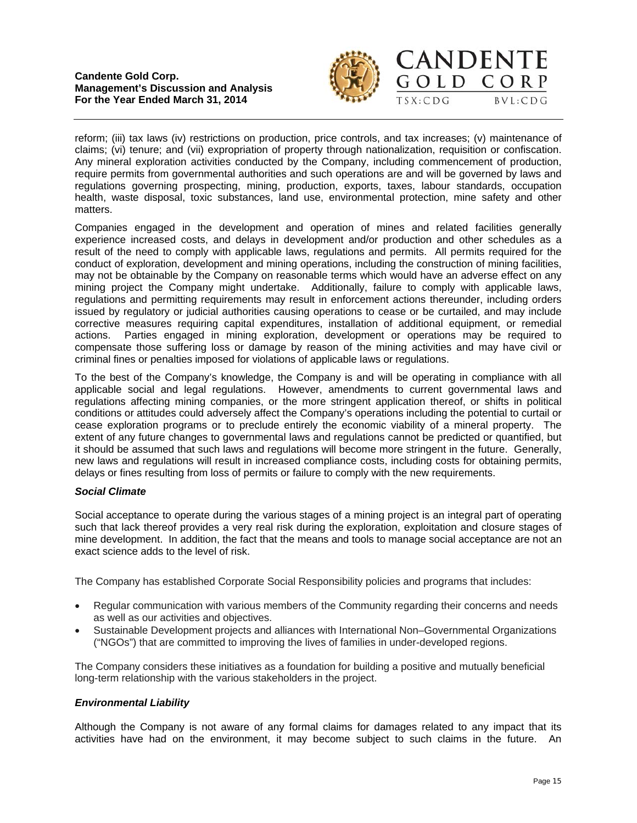### **Candente Gold Corp. Management's Discussion and Analysis For the Year Ended March 31, 2014**



CANDENTE

GOLD CORP

 $BVL:CDG$ 



Companies engaged in the development and operation of mines and related facilities generally experience increased costs, and delays in development and/or production and other schedules as a result of the need to comply with applicable laws, regulations and permits. All permits required for the conduct of exploration, development and mining operations, including the construction of mining facilities, may not be obtainable by the Company on reasonable terms which would have an adverse effect on any mining project the Company might undertake. Additionally, failure to comply with applicable laws, regulations and permitting requirements may result in enforcement actions thereunder, including orders issued by regulatory or judicial authorities causing operations to cease or be curtailed, and may include corrective measures requiring capital expenditures, installation of additional equipment, or remedial actions. Parties engaged in mining exploration, development or operations may be required to compensate those suffering loss or damage by reason of the mining activities and may have civil or criminal fines or penalties imposed for violations of applicable laws or regulations.

To the best of the Company's knowledge, the Company is and will be operating in compliance with all applicable social and legal regulations. However, amendments to current governmental laws and regulations affecting mining companies, or the more stringent application thereof, or shifts in political conditions or attitudes could adversely affect the Company's operations including the potential to curtail or cease exploration programs or to preclude entirely the economic viability of a mineral property. The extent of any future changes to governmental laws and regulations cannot be predicted or quantified, but it should be assumed that such laws and regulations will become more stringent in the future. Generally, new laws and regulations will result in increased compliance costs, including costs for obtaining permits, delays or fines resulting from loss of permits or failure to comply with the new requirements.

#### *Social Climate*

Social acceptance to operate during the various stages of a mining project is an integral part of operating such that lack thereof provides a very real risk during the exploration, exploitation and closure stages of mine development. In addition, the fact that the means and tools to manage social acceptance are not an exact science adds to the level of risk.

The Company has established Corporate Social Responsibility policies and programs that includes:

- Regular communication with various members of the Community regarding their concerns and needs as well as our activities and objectives.
- Sustainable Development projects and alliances with International Non–Governmental Organizations ("NGOs") that are committed to improving the lives of families in under-developed regions.

The Company considers these initiatives as a foundation for building a positive and mutually beneficial long-term relationship with the various stakeholders in the project.

#### *Environmental Liability*

Although the Company is not aware of any formal claims for damages related to any impact that its activities have had on the environment, it may become subject to such claims in the future. An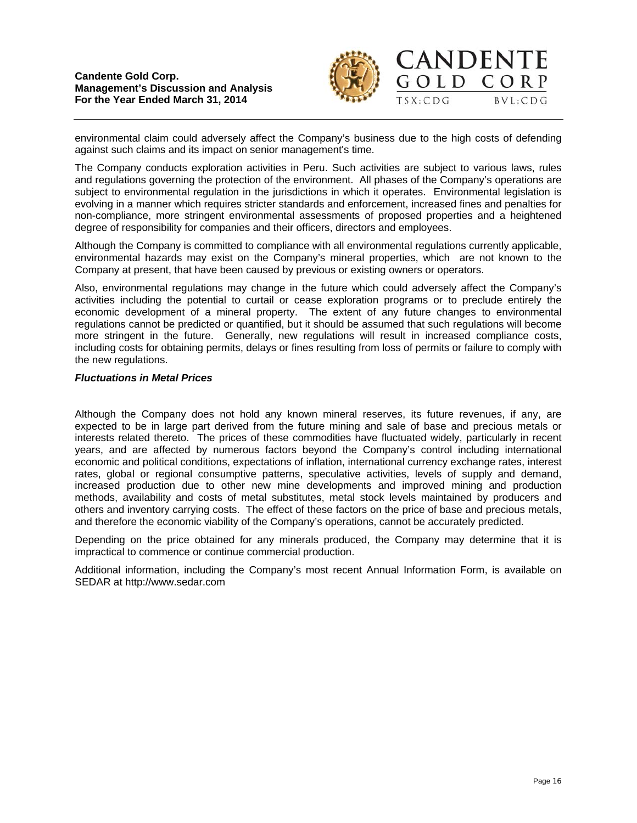

 $70LD$ 

CORP

 $BVL:CDG$ 



The Company conducts exploration activities in Peru. Such activities are subject to various laws, rules and regulations governing the protection of the environment. All phases of the Company's operations are subject to environmental regulation in the jurisdictions in which it operates. Environmental legislation is evolving in a manner which requires stricter standards and enforcement, increased fines and penalties for non-compliance, more stringent environmental assessments of proposed properties and a heightened degree of responsibility for companies and their officers, directors and employees.

Although the Company is committed to compliance with all environmental regulations currently applicable, environmental hazards may exist on the Company's mineral properties, which are not known to the Company at present, that have been caused by previous or existing owners or operators.

Also, environmental regulations may change in the future which could adversely affect the Company's activities including the potential to curtail or cease exploration programs or to preclude entirely the economic development of a mineral property. The extent of any future changes to environmental regulations cannot be predicted or quantified, but it should be assumed that such regulations will become more stringent in the future. Generally, new regulations will result in increased compliance costs, including costs for obtaining permits, delays or fines resulting from loss of permits or failure to comply with the new regulations.

#### *Fluctuations in Metal Prices*

Although the Company does not hold any known mineral reserves, its future revenues, if any, are expected to be in large part derived from the future mining and sale of base and precious metals or interests related thereto. The prices of these commodities have fluctuated widely, particularly in recent years, and are affected by numerous factors beyond the Company's control including international economic and political conditions, expectations of inflation, international currency exchange rates, interest rates, global or regional consumptive patterns, speculative activities, levels of supply and demand, increased production due to other new mine developments and improved mining and production methods, availability and costs of metal substitutes, metal stock levels maintained by producers and others and inventory carrying costs. The effect of these factors on the price of base and precious metals, and therefore the economic viability of the Company's operations, cannot be accurately predicted.

Depending on the price obtained for any minerals produced, the Company may determine that it is impractical to commence or continue commercial production.

Additional information, including the Company's most recent Annual Information Form, is available on SEDAR at http://www.sedar.com